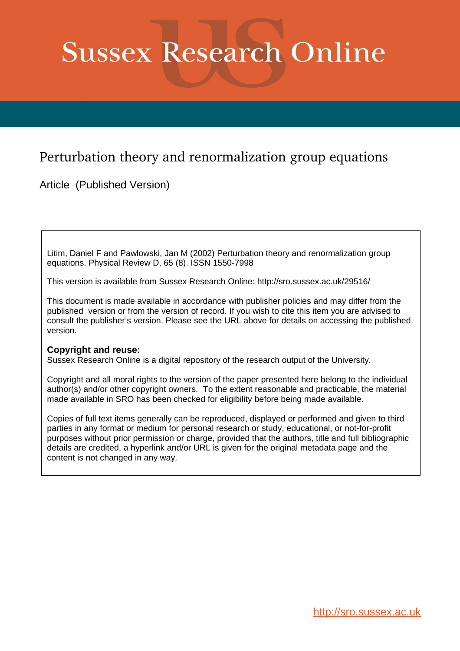# **Sussex Research Online**

## Perturbation theory and renormalization group equations

Article (Published Version)

Litim, Daniel F and Pawlowski, Jan M (2002) Perturbation theory and renormalization group equations. Physical Review D, 65 (8). ISSN 1550-7998

This version is available from Sussex Research Online: http://sro.sussex.ac.uk/29516/

This document is made available in accordance with publisher policies and may differ from the published version or from the version of record. If you wish to cite this item you are advised to consult the publisher's version. Please see the URL above for details on accessing the published version.

## **Copyright and reuse:**

Sussex Research Online is a digital repository of the research output of the University.

Copyright and all moral rights to the version of the paper presented here belong to the individual author(s) and/or other copyright owners. To the extent reasonable and practicable, the material made available in SRO has been checked for eligibility before being made available.

Copies of full text items generally can be reproduced, displayed or performed and given to third parties in any format or medium for personal research or study, educational, or not-for-profit purposes without prior permission or charge, provided that the authors, title and full bibliographic details are credited, a hyperlink and/or URL is given for the original metadata page and the content is not changed in any way.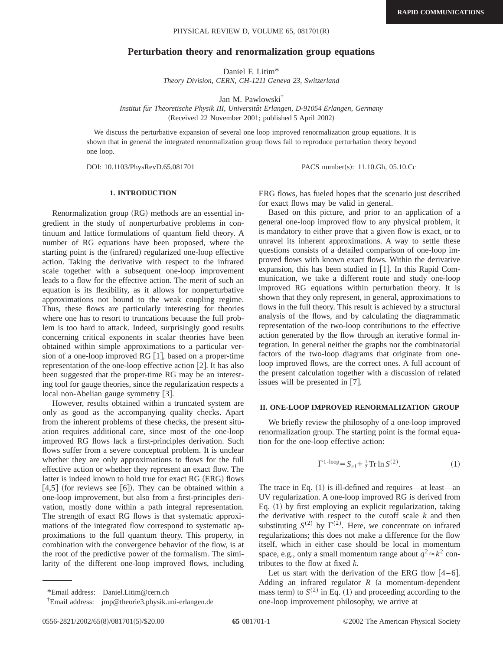### **Perturbation theory and renormalization group equations**

Daniel F. Litim\* *Theory Division, CERN, CH-1211 Geneva 23, Switzerland*

Jan M. Pawlowski†

Institut für Theoretische Physik III, Universität Erlangen, D-91054 Erlangen, Germany (Received 22 November 2001; published 5 April 2002)

We discuss the perturbative expansion of several one loop improved renormalization group equations. It is shown that in general the integrated renormalization group flows fail to reproduce perturbation theory beyond one loop.

DOI: 10.1103/PhysRevD.65.081701 PACS number(s): 11.10.Gh, 05.10.Cc

#### **1. INTRODUCTION**

Renormalization group  $(RG)$  methods are an essential ingredient in the study of nonperturbative problems in continuum and lattice formulations of quantum field theory. A number of RG equations have been proposed, where the starting point is the (infrared) regularized one-loop effective action. Taking the derivative with respect to the infrared scale together with a subsequent one-loop improvement leads to a flow for the effective action. The merit of such an equation is its flexibility, as it allows for nonperturbative approximations not bound to the weak coupling regime. Thus, these flows are particularly interesting for theories where one has to resort to truncations because the full problem is too hard to attack. Indeed, surprisingly good results concerning critical exponents in scalar theories have been obtained within simple approximations to a particular version of a one-loop improved  $RG[1]$ , based on a proper-time representation of the one-loop effective action  $[2]$ . It has also been suggested that the proper-time RG may be an interesting tool for gauge theories, since the regularization respects a local non-Abelian gauge symmetry [3].

However, results obtained within a truncated system are only as good as the accompanying quality checks. Apart from the inherent problems of these checks, the present situation requires additional care, since most of the one-loop improved RG flows lack a first-principles derivation. Such flows suffer from a severe conceptual problem. It is unclear whether they are only approximations to flows for the full effective action or whether they represent an exact flow. The latter is indeed known to hold true for exact RG (ERG) flows  $[4,5]$  (for reviews see [6]). They can be obtained within a one-loop improvement, but also from a first-principles derivation, mostly done within a path integral representation. The strength of exact RG flows is that systematic approximations of the integrated flow correspond to systematic approximations to the full quantum theory. This property, in combination with the convergence behavior of the flow, is at the root of the predictive power of the formalism. The similarity of the different one-loop improved flows, including ERG flows, has fueled hopes that the scenario just described for exact flows may be valid in general.

Based on this picture, and prior to an application of a general one-loop improved flow to any physical problem, it is mandatory to either prove that a given flow is exact, or to unravel its inherent approximations. A way to settle these questions consists of a detailed comparison of one-loop improved flows with known exact flows. Within the derivative expansion, this has been studied in  $[1]$ . In this Rapid Communication, we take a different route and study one-loop improved RG equations within perturbation theory. It is shown that they only represent, in general, approximations to flows in the full theory. This result is achieved by a structural analysis of the flows, and by calculating the diagrammatic representation of the two-loop contributions to the effective action generated by the flow through an iterative formal integration. In general neither the graphs nor the combinatorial factors of the two-loop diagrams that originate from oneloop improved flows, are the correct ones. A full account of the present calculation together with a discussion of related issues will be presented in  $[7]$ .

#### **II. ONE-LOOP IMPROVED RENORMALIZATION GROUP**

We briefly review the philosophy of a one-loop improved renormalization group. The starting point is the formal equation for the one-loop effective action:

$$
\Gamma^{1\text{-loop}} = S_{cl} + \frac{1}{2}\text{Tr}\ln S^{(2)}.
$$
 (1)

The trace in Eq.  $(1)$  is ill-defined and requires—at least—an UV regularization. A one-loop improved RG is derived from Eq.  $(1)$  by first employing an explicit regularization, taking the derivative with respect to the cutoff scale *k* and then substituting  $S^{(2)}$  by  $\Gamma^{(2)}$ . Here, we concentrate on infrared regularizations; this does not make a difference for the flow itself, which in either case should be local in momentum space, e.g., only a small momentum range about  $q^2 \approx k^2$  contributes to the flow at fixed *k*.

Let us start with the derivation of the ERG flow  $[4-6]$ . Adding an infrared regulator  $R$  (a momentum-dependent mass term) to  $S^{(2)}$  in Eq. (1) and proceeding according to the one-loop improvement philosophy, we arrive at

<sup>\*</sup>Email address: Daniel.Litim@cern.ch

<sup>†</sup>Email address: jmp@theorie3.physik.uni-erlangen.de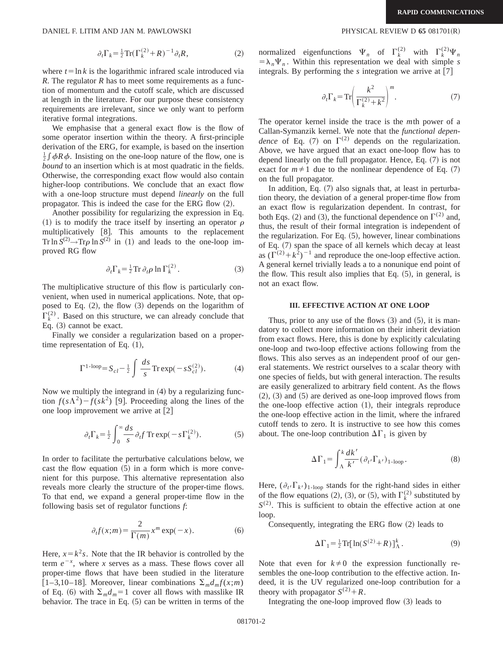DANIEL F. LITIM AND JAN M. PAWLOWSKI PHYSICAL REVIEW D 65 081701(R)

$$
\partial_t \Gamma_k = \frac{1}{2} \operatorname{Tr}(\Gamma_k^{(2)} + R)^{-1} \partial_t R,\tag{2}
$$

where  $t = \ln k$  is the logarithmic infrared scale introduced via *R*. The regulator *R* has to meet some requirements as a function of momentum and the cutoff scale, which are discussed at length in the literature. For our purpose these consistency requirements are irrelevant, since we only want to perform iterative formal integrations.

We emphasise that a general exact flow is the flow of some operator insertion within the theory. A first-principle derivation of the ERG, for example, is based on the insertion  $\frac{1}{2} \int \phi R \phi$ . Insisting on the one-loop nature of the flow, one is *bound* to an insertion which is at most quadratic in the fields. Otherwise, the corresponding exact flow would also contain higher-loop contributions. We conclude that an exact flow with a one-loop structure must depend *linearly* on the full propagator. This is indeed the case for the ERG flow  $(2)$ .

Another possibility for regularizing the expression in Eq. (1) is to modify the trace itself by inserting an operator  $\rho$ multiplicatively [8]. This amounts to the replacement Tr ln  $S^{(2)} \rightarrow$ Tr $\rho$  ln  $S^{(2)}$  in (1) and leads to the one-loop improved RG flow

$$
\partial_t \Gamma_k = \frac{1}{2} \text{Tr} \, \partial_t \rho \ln \Gamma_k^{(2)} \,. \tag{3}
$$

The multiplicative structure of this flow is particularly convenient, when used in numerical applications. Note, that opposed to Eq.  $(2)$ , the flow  $(3)$  depends on the logarithm of  $\Gamma_k^{(2)}$ . Based on this structure, we can already conclude that Eq.  $(3)$  cannot be exact.

Finally we consider a regularization based on a propertime representation of Eq.  $(1)$ ,

$$
\Gamma^{1\text{-loop}} = S_{cl} - \frac{1}{2} \int \frac{ds}{s} \text{Tr} \exp(-s S_{cl}^{(2)}). \tag{4}
$$

Now we multiply the integrand in  $(4)$  by a regularizing function  $f(s\Lambda^2) - f(sk^2)$  [9]. Proceeding along the lines of the one loop improvement we arrive at  $[2]$ 

$$
\partial_t \Gamma_k = \frac{1}{2} \int_0^\infty \frac{ds}{s} \partial_t f \operatorname{Tr} \exp(-s \Gamma_k^{(2)}). \tag{5}
$$

In order to facilitate the perturbative calculations below, we cast the flow equation  $(5)$  in a form which is more convenient for this purpose. This alternative representation also reveals more clearly the structure of the proper-time flows. To that end, we expand a general proper-time flow in the following basis set of regulator functions *f*:

$$
\partial_t f(x; m) = \frac{2}{\Gamma(m)} x^m \exp(-x).
$$
 (6)

Here,  $x = k^2 s$ . Note that the IR behavior is controlled by the term  $e^{-x}$ , where *x* serves as a mass. These flows cover all proper-time flows that have been studied in the literature  $\left[1-3,10-18\right]$ . Moreover, linear combinations  $\sum_{m} d_m f(x;m)$ of Eq. (6) with  $\Sigma_m d_m = 1$  cover all flows with masslike IR behavior. The trace in Eq.  $(5)$  can be written in terms of the

normalized eigenfunctions  $\Psi_n$  of  $\Gamma_k^{(2)}$  with  $\Gamma_k^{(2)}\Psi_n$  $=$  $\lambda_n \Psi_n$ . Within this representation we deal with simple *s* integrals. By performing the  $s$  integration we arrive at  $[7]$ 

$$
\partial_t \Gamma_k = \text{Tr} \left( \frac{k^2}{\Gamma_k^{(2)} + k^2} \right)^m. \tag{7}
$$

The operator kernel inside the trace is the *m*th power of a Callan-Symanzik kernel. We note that the *functional dependence* of Eq. (7) on  $\Gamma^{(2)}$  depends on the regularization. Above, we have argued that an exact one-loop flow has to depend linearly on the full propagator. Hence, Eq.  $(7)$  is not exact for  $m \neq 1$  due to the nonlinear dependence of Eq. (7) on the full propagator.

In addition, Eq.  $(7)$  also signals that, at least in perturbation theory, the deviation of a general proper-time flow from an exact flow is regularization dependent. In contrast, for both Eqs. (2) and (3), the functional dependence on  $\Gamma^{(2)}$  and, thus, the result of their formal integration is independent of the regularization. For Eq.  $(5)$ , however, linear combinations of Eq.  $(7)$  span the space of all kernels which decay at least as  $(\Gamma^{(2)} + k^2)^{-1}$  and reproduce the one-loop effective action. A general kernel trivially leads a to a nonunique end point of the flow. This result also implies that Eq.  $(5)$ , in general, is not an exact flow.

#### **III. EFFECTIVE ACTION AT ONE LOOP**

Thus, prior to any use of the flows  $(3)$  and  $(5)$ , it is mandatory to collect more information on their inherit deviation from exact flows. Here, this is done by explicitly calculating one-loop and two-loop effective actions following from the flows. This also serves as an independent proof of our general statements. We restrict ourselves to a scalar theory with one species of fields, but with general interaction. The results are easily generalized to arbitrary field content. As the flows  $(2)$ ,  $(3)$  and  $(5)$  are derived as one-loop improved flows from the one-loop effective action  $(1)$ , their integrals reproduce the one-loop effective action in the limit, where the infrared cutoff tends to zero. It is instructive to see how this comes about. The one-loop contribution  $\Delta\Gamma_1$  is given by

$$
\Delta\Gamma_1 = \int_{\Lambda}^k \frac{dk'}{k'} (\partial_{t'} \Gamma_{k'})_{1\text{-loop}}.
$$
 (8)

Here,  $(\partial_t \Gamma_{k'})_{1-loop}$  stands for the right-hand sides in either of the flow equations (2), (3), or (5), with  $\Gamma_k^{(2)}$  substituted by  $S^{(2)}$ . This is sufficient to obtain the effective action at one loop.

Consequently, integrating the ERG flow  $(2)$  leads to

$$
\Delta\Gamma_1 = \frac{1}{2}\text{Tr}[\ln(S^{(2)} + R)]_{\Lambda}^k. \tag{9}
$$

Note that even for  $k\neq 0$  the expression functionally resembles the one-loop contribution to the effective action. Indeed, it is the UV regularized one-loop contribution for a theory with propagator  $S^{(2)} + R$ .

Integrating the one-loop improved flow  $(3)$  leads to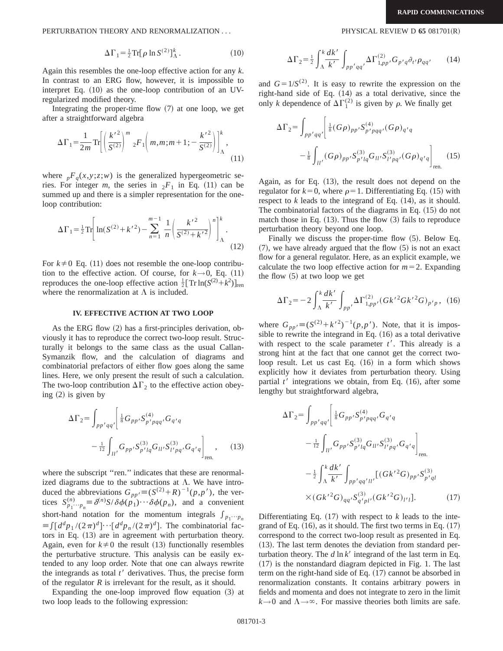PERTURBATION THEORY AND RENORMALIZATION . . . PHYSICAL REVIEW D **65** 081701~R!

$$
\Delta\Gamma_1 = \frac{1}{2}\operatorname{Tr}[\rho \ln S^{(2)}]_{\Lambda}^k. \tag{10}
$$

Again this resembles the one-loop effective action for any *k*. In contrast to an ERG flow, however, it is impossible to interpret Eq.  $(10)$  as the one-loop contribution of an UVregularized modified theory.

Integrating the proper-time flow  $(7)$  at one loop, we get after a straightforward algebra

$$
\Delta\Gamma_1 = \frac{1}{2m} \text{Tr} \left[ \left( \frac{k'^2}{S^{(2)}} \right)^m {}_{2}F_1 \left( m, m; m+1; -\frac{k'^2}{S^{(2)}} \right) \right]_{\Lambda}^k, \tag{11}
$$

where  $pF_q(x, y; z; w)$  is the generalized hypergeometric series. For integer *m*, the series in  ${}_2F_1$  in Eq. (11) can be summed up and there is a simpler representation for the oneloop contribution:

$$
\Delta\Gamma_1 = \frac{1}{2}\text{Tr}\left[\ln(S^{(2)} + k'^2) - \sum_{n=1}^{m-1} \frac{1}{n} \left(\frac{k'^2}{S^{(2)} + k'^2}\right)^n\right]_{\Lambda}^k.
$$
\n(12)

For  $k\neq 0$  Eq. (11) does not resemble the one-loop contribution to the effective action. Of course, for  $k \rightarrow 0$ , Eq. (11) reproduces the one-loop effective action  $\frac{1}{2} [\text{Tr} \ln(S^{(2)} + k^2)]_{\text{ren}}$ where the renormalization at  $\Lambda$  is included.

## **IV. EFFECTIVE ACTION AT TWO LOOP**

As the ERG flow  $(2)$  has a first-principles derivation, obviously it has to reproduce the correct two-loop result. Structurally it belongs to the same class as the usual Callan-Symanzik flow, and the calculation of diagrams and combinatorial prefactors of either flow goes along the same lines. Here, we only present the result of such a calculation. The two-loop contribution  $\Delta\Gamma_2$  to the effective action obeying  $(2)$  is given by

$$
\Delta\Gamma_{2} = \int_{pp'qq'} \left[ \frac{1}{8} G_{pp'} S_{p'pqq'}^{(4)} G_{q'q} - \frac{1}{12} \int_{ll'} G_{pp'} S_{p'pq}^{(3)} G_{ll'} S_{l'pq'}^{(3)} G_{q'q} \right]_{\text{ren.}}, \quad (13)
$$

where the subscript "ren." indicates that these are renormalized diagrams due to the subtractions at  $\Lambda$ . We have introduced the abbreviations  $G_{pp'} \equiv (S^{(2)} + R)^{-1}(p, p')$ , the vertices  $S_{p_1 \cdots p_n}^{(n)} \equiv \delta^{(n)} S / \delta \phi(p_1) \cdots \delta \phi(p_n)$ , and a convenient short-hand notation for the momentum integrals  $\int_{p_1\cdots p_n}$  $\equiv \int [d^d p_1/(2\pi)^d] \cdots [d^d p_n/(2\pi)^d]$ . The combinatorial factors in Eq.  $(13)$  are in agreement with perturbation theory. Again, even for  $k\neq 0$  the result (13) functionally resembles the perturbative structure. This analysis can be easily extended to any loop order. Note that one can always rewrite the integrands as total  $t'$  derivatives. Thus, the precise form of the regulator *R* is irrelevant for the result, as it should.

Expanding the one-loop improved flow equation  $(3)$  at two loop leads to the following expression:

$$
\Delta\Gamma_2 = \frac{1}{2} \int_{\Lambda}^k \frac{dk'}{k'} \int_{pp'qq'} \Delta\Gamma_{1,pp'}^{(2)}, G_{p'q}\partial_{t'}\rho_{qq'} \qquad (14)
$$

and  $G=1/S^{(2)}$ . It is easy to rewrite the expression on the right-hand side of Eq.  $(14)$  as a total derivative, since the only *k* dependence of  $\Delta\Gamma_1^{(2)}$  is given by  $\rho$ . We finally get

$$
\Delta\Gamma_{2} = \int_{pp'qq'} \left[ \frac{1}{8} (G\rho)_{pp'} S^{(4)}_{p'pqq'} (G\rho)_{q'q} - \frac{1}{8} \int_{ll'} (G\rho)_{pp'} S^{(3)}_{p'lq} G_{ll'} S^{(3)}_{l'pq'} (G\rho)_{q'q} \right]_{\text{ren.}}
$$
(15)

Again, as for Eq.  $(13)$ , the result does not depend on the regulator for  $k=0$ , where  $\rho=1$ . Differentiating Eq. (15) with respect to  $k$  leads to the integrand of Eq.  $(14)$ , as it should. The combinatorial factors of the diagrams in Eq.  $(15)$  do not match those in Eq.  $(13)$ . Thus the flow  $(3)$  fails to reproduce perturbation theory beyond one loop.

Finally we discuss the proper-time flow  $(5)$ . Below Eq.  $(7)$ , we have already argued that the flow  $(5)$  is not an exact flow for a general regulator. Here, as an explicit example, we calculate the two loop effective action for  $m=2$ . Expanding the flow  $(5)$  at two loop we get

$$
\Delta\Gamma_2 = -2\int_{\Lambda}^k \frac{dk'}{k'} \int_{pp'} \Delta\Gamma_{1,pp'}^{(2)}(Gk'^2Gk'^2G)_{p'p}, \tag{16}
$$

where  $G_{pp'} = (S^{(2)} + k'^2)^{-1}(p, p')$ . Note, that it is impossible to rewrite the integrand in Eq.  $(16)$  as a total derivative with respect to the scale parameter  $t'$ . This already is a strong hint at the fact that one cannot get the correct twoloop result. Let us cast Eq.  $(16)$  in a form which shows explicitly how it deviates from perturbation theory. Using partial  $t'$  integrations we obtain, from Eq.  $(16)$ , after some lengthy but straightforward algebra,

$$
\Delta\Gamma_{2} = \int_{pp'qq'} \left[ \frac{1}{8} G_{pp'} S_{p'pqq'}^{(4)} G_{q'q} - \frac{1}{12} \int_{ll'} G_{pp'} S_{p'pqq}^{(3)} G_{ll'} S_{l'pq'}^{(3)} G_{q'q} \right]_{\text{ren.}}
$$

$$
- \frac{1}{2} \int_{\Lambda}^{k} \frac{dk'}{k'} \int_{pp'qq'll'} [(Gk'^{2}G)_{pp'} S_{p'ql}^{(3)} + \times (Gk'^{2}G)_{qq'} S_{q'pl'}^{(3)} (Gk'^{2}G)_{l'l}]. \tag{17}
$$

Differentiating Eq.  $(17)$  with respect to *k* leads to the integrand of Eq.  $(16)$ , as it should. The first two terms in Eq.  $(17)$ correspond to the correct two-loop result as presented in Eq.  $(13)$ . The last term denotes the deviation from standard perturbation theory. The  $d \ln k'$  integrand of the last term in Eq.  $(17)$  is the nonstandard diagram depicted in Fig. 1. The last term on the right-hand side of Eq.  $(17)$  cannot be absorbed in renormalization constants. It contains arbitrary powers in fields and momenta and does not integrate to zero in the limit  $k\rightarrow 0$  and  $\Lambda\rightarrow\infty$ . For massive theories both limits are safe.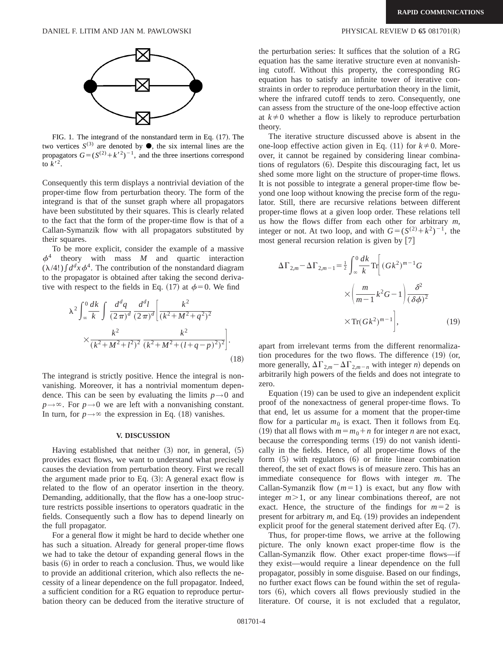

FIG. 1. The integrand of the nonstandard term in Eq.  $(17)$ . The two vertices  $S^{(3)}$  are denoted by  $\bullet$ , the six internal lines are the propagators  $G = (S^{(2)} + k^2)^{-1}$ , and the three insertions correspond to  $k^2$ .

Consequently this term displays a nontrivial deviation of the proper-time flow from perturbation theory. The form of the integrand is that of the sunset graph where all propagators have been substituted by their squares. This is clearly related to the fact that the form of the proper-time flow is that of a Callan-Symanzik flow with all propagators substituted by their squares.

To be more explicit, consider the example of a massive  $\phi^{\cdot}$ 4 theory with mass *M* and quartic interaction  $(\lambda/4!) \int d^dx \phi^4$ . The contribution of the nonstandard diagram to the propagator is obtained after taking the second derivative with respect to the fields in Eq. (17) at  $\phi=0$ . We find

$$
\lambda^{2} \int_{\infty}^{0} \frac{dk}{k} \int \frac{d^{d}q}{(2\pi)^{d}} \frac{d^{d}l}{(2\pi)^{d}} \left[ \frac{k^{2}}{(k^{2} + M^{2} + q^{2})^{2}} \right] \times \frac{k^{2}}{(k^{2} + M^{2} + l^{2})^{2}} \frac{k^{2}}{(k^{2} + M^{2} + (l + q - p)^{2})^{2}} \Big].
$$
\n(18)

The integrand is strictly positive. Hence the integral is nonvanishing. Moreover, it has a nontrivial momentum dependence. This can be seen by evaluating the limits  $p \rightarrow 0$  and  $p \rightarrow \infty$ . For  $p \rightarrow 0$  we are left with a nonvanishing constant. In turn, for  $p \rightarrow \infty$  the expression in Eq. (18) vanishes.

#### **V. DISCUSSION**

Having established that neither  $(3)$  nor, in general,  $(5)$ provides exact flows, we want to understand what precisely causes the deviation from perturbation theory. First we recall the argument made prior to Eq.  $(3)$ : A general exact flow is related to the flow of an operator insertion in the theory. Demanding, additionally, that the flow has a one-loop structure restricts possible insertions to operators quadratic in the fields. Consequently such a flow has to depend linearly on the full propagator.

For a general flow it might be hard to decide whether one has such a situation. Already for general proper-time flows we had to take the detour of expanding general flows in the basis  $(6)$  in order to reach a conclusion. Thus, we would like to provide an additional criterion, which also reflects the necessity of a linear dependence on the full propagator. Indeed, a sufficient condition for a RG equation to reproduce perturbation theory can be deduced from the iterative structure of

the perturbation series: It suffices that the solution of a RG equation has the same iterative structure even at nonvanishing cutoff. Without this property, the corresponding RG equation has to satisfy an infinite tower of iterative constraints in order to reproduce perturbation theory in the limit, where the infrared cutoff tends to zero. Consequently, one can assess from the structure of the one-loop effective action at  $k\neq 0$  whether a flow is likely to reproduce perturbation theory.

The iterative structure discussed above is absent in the one-loop effective action given in Eq.  $(11)$  for  $k \neq 0$ . Moreover, it cannot be regained by considering linear combinations of regulators  $(6)$ . Despite this discouraging fact, let us shed some more light on the structure of proper-time flows. It is not possible to integrate a general proper-time flow beyond one loop without knowing the precise form of the regulator. Still, there are recursive relations between different proper-time flows at a given loop order. These relations tell us how the flows differ from each other for arbitrary *m*, integer or not. At two loop, and with  $G = (S^{(2)} + k^2)^{-1}$ , the most general recursion relation is given by  $[7]$ 

$$
\Delta\Gamma_{2,m} - \Delta\Gamma_{2,m-1} = \frac{1}{2} \int_{\infty}^{0} \frac{dk}{k} \text{Tr}\left[ (Gk^2)^{m-1} G \times \left( \frac{m}{m-1} k^2 G - 1 \right) \frac{\delta^2}{(\delta \phi)^2} \times \text{Tr}(Gk^2)^{m-1} \right], \tag{19}
$$

apart from irrelevant terms from the different renormalization procedures for the two flows. The difference  $(19)$  (or, more generally,  $\Delta\Gamma_{2,m} - \Delta\Gamma_{2,m-n}$  with integer *n*) depends on arbitrarily high powers of the fields and does not integrate to zero.

Equation  $(19)$  can be used to give an independent explicit proof of the nonexactness of general proper-time flows. To that end, let us assume for a moment that the proper-time flow for a particular  $m_0$  is exact. Then it follows from Eq.  $(19)$  that all flows with  $m = m_0 + n$  for integer *n* are not exact, because the corresponding terms  $(19)$  do not vanish identically in the fields. Hence, of all proper-time flows of the form  $(5)$  with regulators  $(6)$  or finite linear combination thereof, the set of exact flows is of measure zero. This has an immediate consequence for flows with integer *m*. The Callan-Symanzik flow  $(m=1)$  is exact, but any flow with integer  $m > 1$ , or any linear combinations thereof, are not exact. Hence, the structure of the findings for  $m=2$  is present for arbitrary  $m$ , and Eq.  $(19)$  provides an independent explicit proof for the general statement derived after Eq.  $(7)$ .

Thus, for proper-time flows, we arrive at the following picture. The only known exact proper-time flow is the Callan-Symanzik flow. Other exact proper-time flows—if they exist—would require a linear dependence on the full propagator, possibly in some disguise. Based on our findings, no further exact flows can be found within the set of regulators  $(6)$ , which covers all flows previously studied in the literature. Of course, it is not excluded that a regulator,